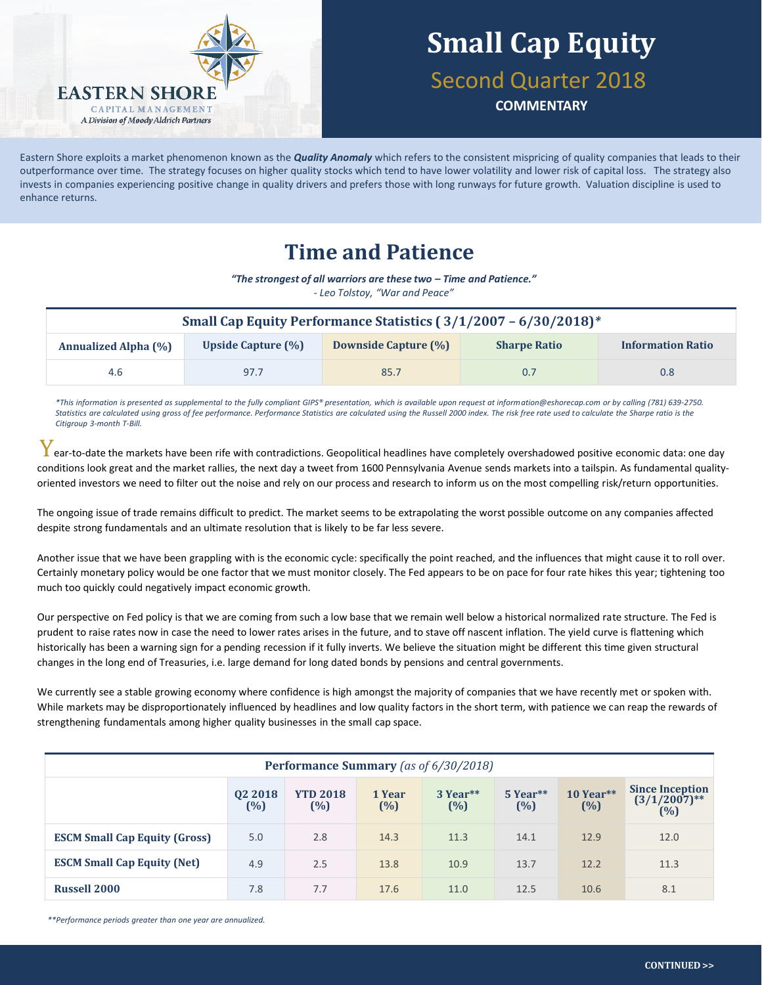

# **Small Cap Equity**

Second Quarter 2018

**COMMENTARY**

Eastern Shore exploits a market phenomenon known as the *Quality Anomaly* which refers to the consistent mispricing of quality companies that leads to their outperformance over time. The strategy focuses on higher quality stocks which tend to have lower volatility and lower risk of capital loss. The strategy also invests in companies experiencing positive change in quality drivers and prefers those with long runways for future growth. Valuation discipline is used to enhance returns.

## **Time and Patience**

*"The strongest of all warriors are these two – Time and Patience."*

*- Leo Tolstoy, "War and Peace"*

| Small Cap Equity Performance Statistics (3/1/2007 - 6/30/2018)* |                           |                             |                     |                          |  |
|-----------------------------------------------------------------|---------------------------|-----------------------------|---------------------|--------------------------|--|
| <b>Annualized Alpha (%)</b>                                     | <b>Upside Capture (%)</b> | <b>Downside Capture (%)</b> | <b>Sharpe Ratio</b> | <b>Information Ratio</b> |  |
| 4.6                                                             | 97.7                      | 85.7                        | 0.7                 | 0.8 <sub>0</sub>         |  |

*\*This information is presented as supplemental to the fully compliant GIPS® presentation, which is available upon request at information@eshorecap.com or by calling (781) 639-2750.*  Statistics are calculated using gross of fee performance. Performance Statistics are calculated using the Russell 2000 index. The risk free rate used to calculate the Sharpe ratio is the *Citigroup 3-month T-Bill.*

 $\bm{Y}$  ear-to-date the markets have been rife with contradictions. Geopolitical headlines have completely overshadowed positive economic data: one day conditions look great and the market rallies, the next day a tweet from 1600 Pennsylvania Avenue sends markets into a tailspin. As fundamental qualityoriented investors we need to filter out the noise and rely on our process and research to inform us on the most compelling risk/return opportunities.

The ongoing issue of trade remains difficult to predict. The market seems to be extrapolating the worst possible outcome on any companies affected despite strong fundamentals and an ultimate resolution that is likely to be far less severe.

Another issue that we have been grappling with is the economic cycle: specifically the point reached, and the influences that might cause it to roll over. Certainly monetary policy would be one factor that we must monitor closely. The Fed appears to be on pace for four rate hikes this year; tightening too much too quickly could negatively impact economic growth.

Our perspective on Fed policy is that we are coming from such a low base that we remain well below a historical normalized rate structure. The Fed is prudent to raise rates now in case the need to lower rates arises in the future, and to stave off nascent inflation. The yield curve is flattening which historically has been a warning sign for a pending recession if it fully inverts. We believe the situation might be different this time given structural changes in the long end of Treasuries, i.e. large demand for long dated bonds by pensions and central governments.

We currently see a stable growing economy where confidence is high amongst the majority of companies that we have recently met or spoken with. While markets may be disproportionately influenced by headlines and low quality factors in the short term, with patience we can reap the rewards of strengthening fundamentals among higher quality businesses in the small cap space.

| <b>Performance Summary</b> (as of 6/30/2018) |                |                        |                  |                 |                 |                    |                                                  |
|----------------------------------------------|----------------|------------------------|------------------|-----------------|-----------------|--------------------|--------------------------------------------------|
|                                              | 02 2018<br>(%) | <b>YTD 2018</b><br>(%) | 1 Year<br>$(\%)$ | 3 Year**<br>(%) | 5 Year**<br>(%) | $10$ Year**<br>(%) | <b>Since Inception</b><br>$(3/1/2007)$ **<br>(%) |
| <b>ESCM Small Cap Equity (Gross)</b>         | 5.0            | 2.8                    | 14.3             | 11.3            | 14.1            | 12.9               | 12.0                                             |
| <b>ESCM Small Cap Equity (Net)</b>           | 4.9            | 2.5                    | 13.8             | 10.9            | 13.7            | 12.2               | 11.3                                             |
| <b>Russell 2000</b>                          | 7.8            | 7.7                    | 17.6             | 11.0            | 12.5            | 10.6               | 8.1                                              |

*\*\*Performance periods greater than one year are annualized.*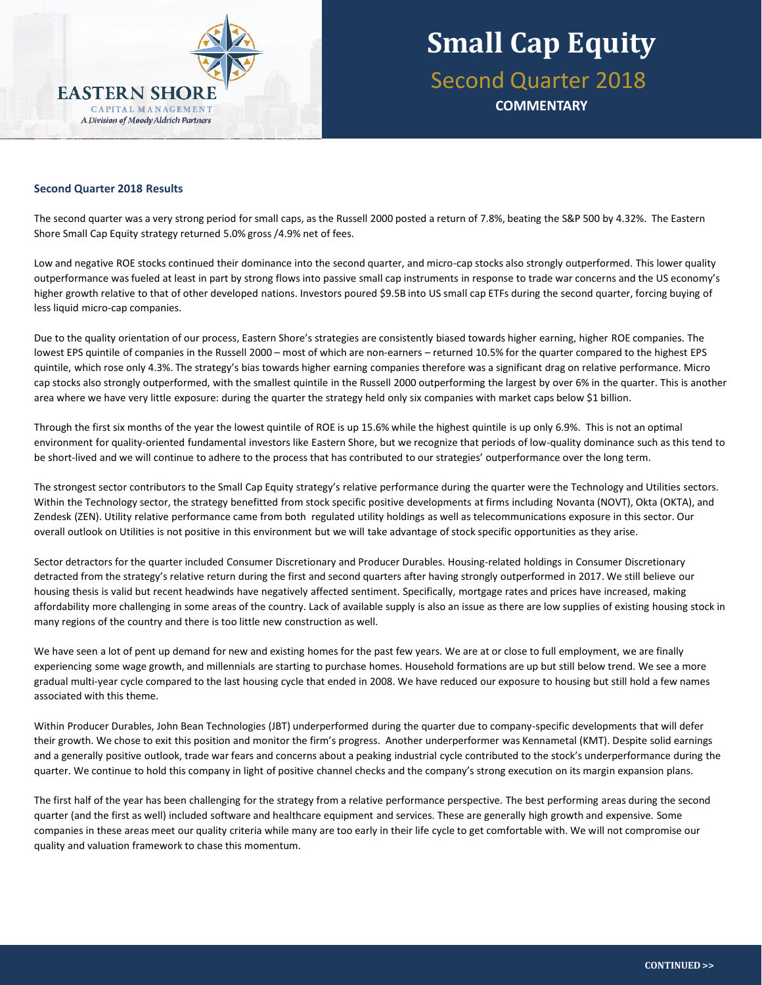

#### **Second Quarter 2018 Results**

The second quarter was a very strong period for small caps, as the Russell 2000 posted a return of 7.8%, beating the S&P 500 by 4.32%. The Eastern Shore Small Cap Equity strategy returned 5.0% gross /4.9% net of fees.

Low and negative ROE stocks continued their dominance into the second quarter, and micro-cap stocks also strongly outperformed. This lower quality outperformance was fueled at least in part by strong flows into passive small cap instruments in response to trade war concerns and the US economy's higher growth relative to that of other developed nations. Investors poured \$9.5B into US small cap ETFs during the second quarter, forcing buying of less liquid micro-cap companies.

Due to the quality orientation of our process, Eastern Shore's strategies are consistently biased towards higher earning, higher ROE companies. The lowest EPS quintile of companies in the Russell 2000 – most of which are non-earners – returned 10.5% for the quarter compared to the highest EPS quintile, which rose only 4.3%. The strategy's bias towards higher earning companies therefore was a significant drag on relative performance. Micro cap stocks also strongly outperformed, with the smallest quintile in the Russell 2000 outperforming the largest by over 6% in the quarter. This is another area where we have very little exposure: during the quarter the strategy held only six companies with market caps below \$1 billion.

Through the first six months of the year the lowest quintile of ROE is up 15.6% while the highest quintile is up only 6.9%. This is not an optimal environment for quality-oriented fundamental investors like Eastern Shore, but we recognize that periods of low-quality dominance such as this tend to be short-lived and we will continue to adhere to the process that has contributed to our strategies' outperformance over the long term.

The strongest sector contributors to the Small Cap Equity strategy's relative performance during the quarter were the Technology and Utilities sectors. Within the Technology sector, the strategy benefitted from stock specific positive developments at firms including Novanta (NOVT), Okta (OKTA), and Zendesk (ZEN). Utility relative performance came from both regulated utility holdings as well as telecommunications exposure in this sector. Our overall outlook on Utilities is not positive in this environment but we will take advantage of stock specific opportunities as they arise.

Sector detractors for the quarter included Consumer Discretionary and Producer Durables. Housing-related holdings in Consumer Discretionary detracted from the strategy's relative return during the first and second quarters after having strongly outperformed in 2017. We still believe our housing thesis is valid but recent headwinds have negatively affected sentiment. Specifically, mortgage rates and prices have increased, making affordability more challenging in some areas of the country. Lack of available supply is also an issue as there are low supplies of existing housing stock in many regions of the country and there is too little new construction as well.

We have seen a lot of pent up demand for new and existing homes for the past few years. We are at or close to full employment, we are finally experiencing some wage growth, and millennials are starting to purchase homes. Household formations are up but still below trend. We see a more gradual multi-year cycle compared to the last housing cycle that ended in 2008. We have reduced our exposure to housing but still hold a few names associated with this theme.

Within Producer Durables, John Bean Technologies (JBT) underperformed during the quarter due to company-specific developments that will defer their growth. We chose to exit this position and monitor the firm's progress. Another underperformer was Kennametal (KMT). Despite solid earnings and a generally positive outlook, trade war fears and concerns about a peaking industrial cycle contributed to the stock's underperformance during the quarter. We continue to hold this company in light of positive channel checks and the company's strong execution on its margin expansion plans.

The first half of the year has been challenging for the strategy from a relative performance perspective. The best performing areas during the second quarter (and the first as well) included software and healthcare equipment and services. These are generally high growth and expensive. Some companies in these areas meet our quality criteria while many are too early in their life cycle to get comfortable with. We will not compromise our quality and valuation framework to chase this momentum.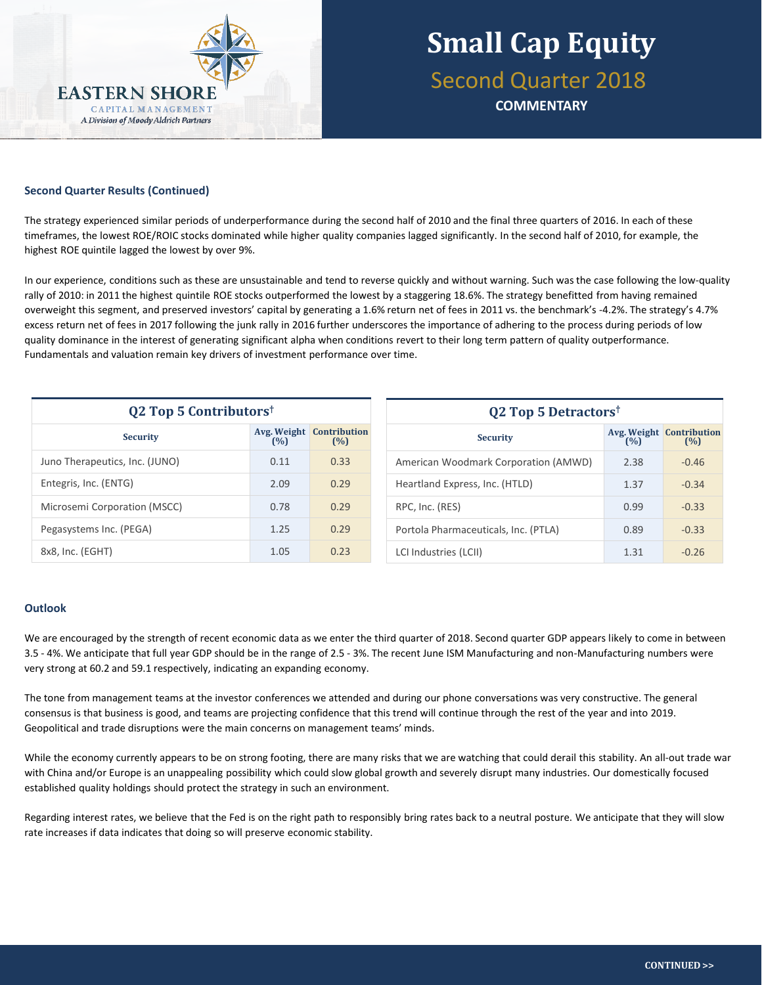

#### **Second Quarter Results (Continued)** analysis of runway/life stage or improvement in  $q$ fundamentals, and continual assessment of expected value.

The strategy experienced similar periods of underperformance during the second half of 2010 and the final three quarters of 2016. In each of these timeframes, the lowest ROE/ROIC stocks dominated while higher quality companies lagged significantly. In the second half of 2010, for example, the highest ROE quintile lagged the lowest by over 9%.

In our experience, conditions such as these are unsustainable and tend to reverse quickly and without warning. Such was the case following the low-quality rally of 2010: in 2011 the highest quintile ROE stocks outperformed the lowest by a staggering 18.6%. The strategy benefitted from having remained overweight this segment, and preserved investors' capital by generating a 1.6% return net of fees in 2011 vs. the benchmark's -4.2%. The strategy's 4.7% excess return net of fees in 2017 following the junk rally in 2016 further underscores the importance of adhering to the process during periods of low quality dominance in the interest of generating significant alpha when conditions revert to their long term pattern of quality outperformance. Fundamentals and valuation remain key drivers of investment performance over time.

| <b>Q2 Top 5 Contributors</b> <sup>†</sup> |                    |                            |  |  |  |
|-------------------------------------------|--------------------|----------------------------|--|--|--|
| <b>Security</b>                           | Avg. Weight<br>(%) | <b>Contribution</b><br>(%) |  |  |  |
| Juno Therapeutics, Inc. (JUNO)            | 0.11               | 0.33                       |  |  |  |
| Entegris, Inc. (ENTG)                     | 2.09               | 0.29                       |  |  |  |
| Microsemi Corporation (MSCC)              | 0.78               | 0.29                       |  |  |  |
| Pegasystems Inc. (PEGA)                   | 1.25               | 0.29                       |  |  |  |
| 8x8, Inc. (EGHT)                          | 1.05               | 0.23                       |  |  |  |

| Q2 Top 5 Detractors <sup>†</sup>     |      |                                        |  |  |  |  |
|--------------------------------------|------|----------------------------------------|--|--|--|--|
| <b>Security</b>                      | (%)  | <b>Avg. Weight Contribution</b><br>(%) |  |  |  |  |
| American Woodmark Corporation (AMWD) | 2.38 | $-0.46$                                |  |  |  |  |
| Heartland Express, Inc. (HTLD)       | 1.37 | $-0.34$                                |  |  |  |  |
| RPC, Inc. (RES)                      | 0.99 | $-0.33$                                |  |  |  |  |
| Portola Pharmaceuticals, Inc. (PTLA) | 0.89 | $-0.33$                                |  |  |  |  |
| LCI Industries (LCII)                | 1 31 | $-0.26$                                |  |  |  |  |

### **Outlook**

We are encouraged by the strength of recent economic data as we enter the third quarter of 2018. Second quarter GDP appears likely to come in between 3.5 - 4%. We anticipate that full year GDP should be in the range of 2.5 - 3%. The recent June ISM Manufacturing and non-Manufacturing numbers were very strong at 60.2 and 59.1 respectively, indicating an expanding economy.

The tone from management teams at the investor conferences we attended and during our phone conversations was very constructive. The general consensus is that business is good, and teams are projecting confidence that this trend will continue through the rest of the year and into 2019. Geopolitical and trade disruptions were the main concerns on management teams' minds.

While the economy currently appears to be on strong footing, there are many risks that we are watching that could derail this stability. An all-out trade war with China and/or Europe is an unappealing possibility which could slow global growth and severely disrupt many industries. Our domestically focused established quality holdings should protect the strategy in such an environment.

Regarding interest rates, we believe that the Fed is on the right path to responsibly bring rates back to a neutral posture. We anticipate that they will slow rate increases if data indicates that doing so will preserve economic stability.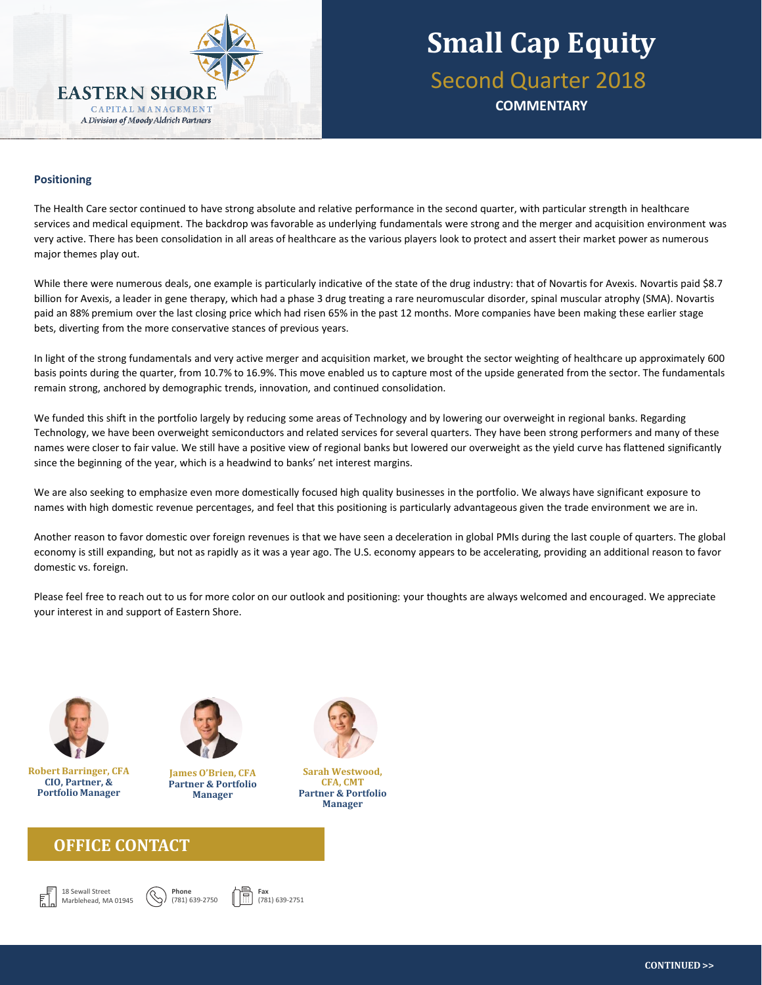

**Small Cap Equity** Second Quarter 2018 **COMMENTARY**

#### **stocks**, adjusting the balance between the two based on opportunity set and market environment. The team's **stock selection technique** is based on the following four components: and analysis of runway/life stage of runway/life stage of company, persistence or i **Positioning**

The Health Care sector continued to have strong absolute and relative performance in the second quarter, with particular strength in healthcare services and medical equipment. The backdrop was favorable as underlying fundamentals were strong and the merger and acquisition environment was very active. There has been consolidation in all areas of healthcare as the various players look to protect and assert their market power as numerous major themes play out.

While there were numerous deals, one example is particularly indicative of the state of the drug industry: that of Novartis for Avexis. Novartis paid \$8.7 billion for Avexis, a leader in gene therapy, which had a phase 3 drug treating a rare neuromuscular disorder, spinal muscular atrophy (SMA). Novartis paid an 88% premium over the last closing price which had risen 65% in the past 12 months. More companies have been making these earlier stage bets, diverting from the more conservative stances of previous years.

In light of the strong fundamentals and very active merger and acquisition market, we brought the sector weighting of healthcare up approximately 600 basis points during the quarter, from 10.7% to 16.9%. This move enabled us to capture most of the upside generated from the sector. The fundamentals remain strong, anchored by demographic trends, innovation, and continued consolidation.

We funded this shift in the portfolio largely by reducing some areas of Technology and by lowering our overweight in regional banks. Regarding Technology, we have been overweight semiconductors and related services for several quarters. They have been strong performers and many of these names were closer to fair value. We still have a positive view of regional banks but lowered our overweight as the yield curve has flattened significantly since the beginning of the year, which is a headwind to banks' net interest margins.

We are also seeking to emphasize even more domestically focused high quality businesses in the portfolio. We always have significant exposure to names with high domestic revenue percentages, and feel that this positioning is particularly advantageous given the trade environment we are in.

Another reason to favor domestic over foreign revenues is that we have seen a deceleration in global PMIs during the last couple of quarters. The global economy is still expanding, but not as rapidly as it was a year ago. The U.S. economy appears to be accelerating, providing an additional reason to favor domestic vs. foreign.

Please feel free to reach out to us for more color on our outlook and positioning: your thoughts are always welcomed and encouraged. We appreciate your interest in and support of Eastern Shore.



**Robert Barringer, CFA CIO, Partner, & Portfolio Manager**



**James O'Brien, CFA Partner & Portfolio Manager**

### **OFFICE CONTACT**











**Sarah Westwood, CFA, CMT Partner & Portfolio Manager**